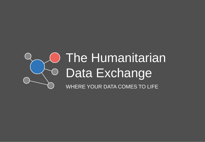#### **O** The Humanitarian Data Exchange WHERE YOUR DATA COMES TO LIFE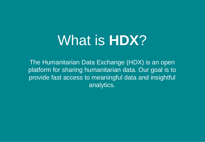# What is **HDX**?

The Humanitarian Data Exchange (HDX) is an open platform for sharing humanitarian data. Our goal is to provide fast access to meaningful data and insightful analytics.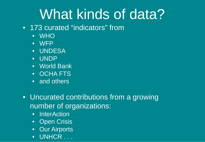# What kinds of data?

- 173 curated "indicators" from
	- WHO
	- WFP
	- UNDESA
	- UNDP
	- World Bank
	- OCHA FTS
	- and others
- Uncurated contributions from a growing number of organizations:
	- InterAction
	- **Open Crisis**
	- Our Airports
	- UNHCR . . .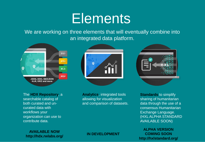## **Elements**

We are working on three elements that will eventually combine into an integrated data platform.







**Analytics**, integrated tools allowing for visualization and comparison of datasets.



**Standards** to simplify sharing of humanitarian data through the use of a consensus Humanitarian Exchange Language. (HXL ALPHA STANDARD AVAILABLE SOON)

**ALPHA VERSION COMING SOON http://hxlstandard.org/**

#### **AVAILABLE NOW http://hdx.rwlabs.org/ IN DEVELOPMENT**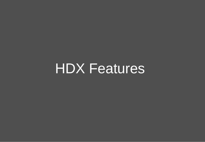HDX Features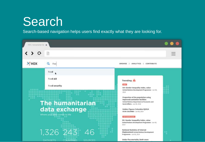#### Search

Search-based navigation helps users find exactly what they are looking for.

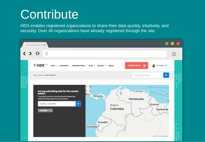#### **Contribute**

HDX enables registered organizations to share their data quickly, intuitively, and securely. Over 40 organizations have already registered through the site.

| HDX   Humanitarian Da X                                                                                                                                                                                                                                                                                                                                                                                            |                                                                           |
|--------------------------------------------------------------------------------------------------------------------------------------------------------------------------------------------------------------------------------------------------------------------------------------------------------------------------------------------------------------------------------------------------------------------|---------------------------------------------------------------------------|
| ≻<br>G<br>$-$<br>$\qquad \qquad \overline{\qquad \qquad }%$<br>$\frac{1}{2}$                                                                                                                                                                                                                                                                                                                                       |                                                                           |
| $\mathbb{R}^2$ HDX <sup>Beth</sup><br><b>SUBMIT DATA</b><br>$\omega$<br>Luis Capelo<br>ORGANISATIONS  <br>DATA I<br><b>COUNTRIES</b><br><b>CONTACT  </b><br><b>ABOUT</b><br>BLOG <sub>I</sub><br>- 1                                                                                                                                                                                                               |                                                                           |
| $\mathsf Q$<br>Search all datasets<br>HOME / DATASETS / CREATE DATASET                                                                                                                                                                                                                                                                                                                                             | $\bullet\bullet\bullet$<br>$\bullet$ $\bullet$ $\bullet$<br>$\frac{1}{2}$ |
| $1a$<br>• Caracas<br>Are you submitting data for the country<br>below?"<br>$\epsilon$ – a<br>Rica<br>Tri<br>Panama<br>if not, which country or countries does the dataset best<br>Venezuela<br>represent? Please select from the dropdown.<br>To<br>Country / Countries<br>٠<br>Guyana/<br>Bogota<br>Colombia<br>Suriname<br><b>COLOMBIA</b><br>$\mathbf{x}$<br>Ecuador<br>Guayaquil<br>Leaflet   Terms & Feedback | $\bullet$<br>٠<br>٠<br>٠<br>٠<br>H<br>$\sim$                              |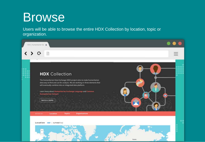#### Browse

Users will be able to browse the entire HDX Collection by location, topic or organization.

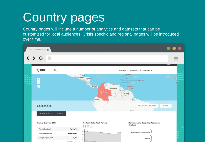# Country pages

Country pages will include a number of analytics and datasets that can be customized for local audiences. Crisis specific and regional pages will be introduced over time.

| HDX   Humanitarian Da X                    |                             |              |                                                                                                                                                               |                                                                                                                                   |                                                                |  |  |  |
|--------------------------------------------|-----------------------------|--------------|---------------------------------------------------------------------------------------------------------------------------------------------------------------|-----------------------------------------------------------------------------------------------------------------------------------|----------------------------------------------------------------|--|--|--|
|                                            | ⋗<br>G                      |              |                                                                                                                                                               |                                                                                                                                   | -<br>$\frac{1}{2}$<br>$\overline{\phantom{a}}$<br><b>LOGIN</b> |  |  |  |
|                                            | $\mathbb{R}^2$ HDX          | Q            |                                                                                                                                                               | CONTRIBUTE<br>BROWSE<br><b>ANALYTICS</b>                                                                                          |                                                                |  |  |  |
| $\bullet$<br>$\bullet$ $\bullet$ $\bullet$ | $\ddot{}$<br>$\,$ $\,$<br>E |              | <b>Bellon</b><br>Gustensia<br>Honduras<br><b>U</b> Salvador<br>Nicaragua<br>Costa Rica<br>Panama.<br>Venezuela<br>Bayata<br>Colombia<br>$\Delta$ .<br>Ecuador | <b>LIGYTHYBEA</b><br>Saint Lucia<br>·Barbados<br>Grenada<br>· Caracas<br>-Trimidad<br>and Tobago<br>Guyana/<br>Suriname<br>Belém- | Cape Verde<br>Dalgar<br>$\bullet$ $\bullet$                    |  |  |  |
|                                            | Colombia                    |              | Guryaguil                                                                                                                                                     | + Fortaleza<br>FOLLOW THIS COUNTRY                                                                                                | SHARE                                                          |  |  |  |
|                                            | 10 INDICATORS   71 DATASETS |              |                                                                                                                                                               | <b>Brazil</b>                                                                                                                     |                                                                |  |  |  |
|                                            | Country Overview 2011       |              | Mortality Rate, Adult Female<br>88.0 mm                                                                                                                       | Monitoring and Reporting Mechanism<br>database                                                                                    | $\bullet$                                                      |  |  |  |
|                                            | Population, total           | 47,078,792   |                                                                                                                                                               |                                                                                                                                   |                                                                |  |  |  |
|                                            | Population density          | 42 per sq km | 188<br>$361 -$                                                                                                                                                | Rape or other grave sexual violence                                                                                               |                                                                |  |  |  |
|                                            | GDP per capita, PPP         | \$10,076     | $348 -$                                                                                                                                                       | Abduction                                                                                                                         |                                                                |  |  |  |
|                                            |                             |              | $128 -$                                                                                                                                                       |                                                                                                                                   |                                                                |  |  |  |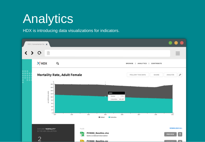## **Analytics**

HDX is introducing data visualizations for indicators.

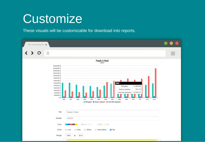#### **Customize**

These visuals will be customizable for download into reports.